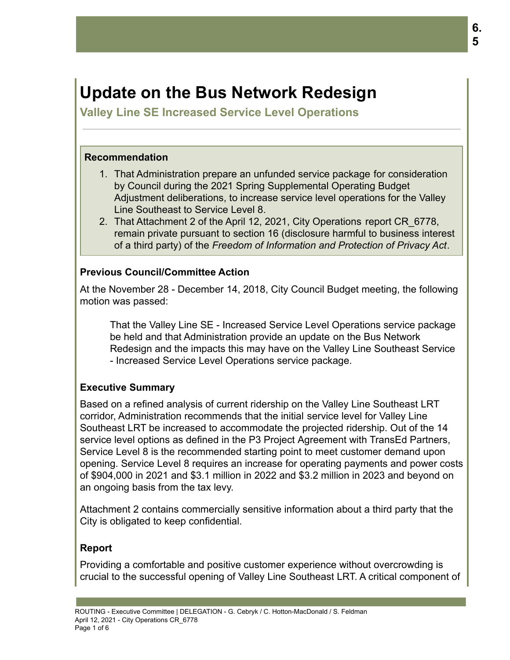# **Update on the Bus Network Redesign**

**Valley Line SE Increased Service Level Operations**

#### **Recommendation**

- 1. That Administration prepare an unfunded service package for consideration by Council during the 2021 Spring Supplemental Operating Budget Adjustment deliberations, to increase service level operations for the Valley Line Southeast to Service Level 8.
- 2. That Attachment 2 of the April 12, 2021, City Operations report CR\_6778, remain private pursuant to section 16 (disclosure harmful to business interest of a third party) of the *Freedom of Information and Protection of Privacy Act*.

### **Previous Council/Committee Action**

At the November 28 - December 14, 2018, City Council Budget meeting, the following motion was passed:

That the Valley Line SE - Increased Service Level Operations service package be held and that Administration provide an update on the Bus Network Redesign and the impacts this may have on the Valley Line Southeast Service - Increased Service Level Operations service package.

## **Executive Summary**

Based on a refined analysis of current ridership on the Valley Line Southeast LRT corridor, Administration recommends that the initial service level for Valley Line Southeast LRT be increased to accommodate the projected ridership. Out of the 14 service level options as defined in the P3 Project Agreement with TransEd Partners, Service Level 8 is the recommended starting point to meet customer demand upon opening. Service Level 8 requires an increase for operating payments and power costs of \$904,000 in 2021 and \$3.1 million in 2022 and \$3.2 million in 2023 and beyond on an ongoing basis from the tax levy.

Attachment 2 contains commercially sensitive information about a third party that the City is obligated to keep confidential.

## **Report**

Providing a comfortable and positive customer experience without overcrowding is crucial to the successful opening of Valley Line Southeast LRT. A critical component of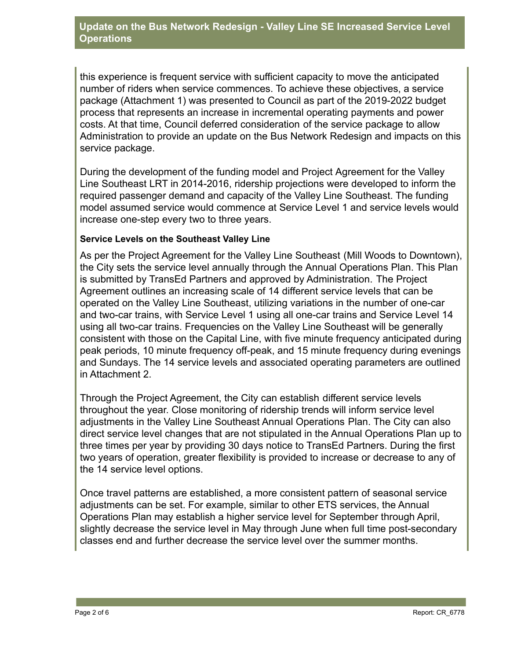#### **Update on the Bus Network Redesign - Valley Line SE Increased Service Level Operations**

this experience is frequent service with sufficient capacity to move the anticipated number of riders when service commences. To achieve these objectives, a service package (Attachment 1) was presented to Council as part of the 2019-2022 budget process that represents an increase in incremental operating payments and power costs. At that time, Council deferred consideration of the service package to allow Administration to provide an update on the Bus Network Redesign and impacts on this service package.

During the development of the funding model and Project Agreement for the Valley Line Southeast LRT in 2014-2016, ridership projections were developed to inform the required passenger demand and capacity of the Valley Line Southeast. The funding model assumed service would commence at Service Level 1 and service levels would increase one-step every two to three years.

#### **Service Levels on the Southeast Valley Line**

As per the Project Agreement for the Valley Line Southeast (Mill Woods to Downtown), the City sets the service level annually through the Annual Operations Plan. This Plan is submitted by TransEd Partners and approved by Administration. The Project Agreement outlines an increasing scale of 14 different service levels that can be operated on the Valley Line Southeast, utilizing variations in the number of one-car and two-car trains, with Service Level 1 using all one-car trains and Service Level 14 using all two-car trains. Frequencies on the Valley Line Southeast will be generally consistent with those on the Capital Line, with five minute frequency anticipated during peak periods, 10 minute frequency off-peak, and 15 minute frequency during evenings and Sundays. The 14 service levels and associated operating parameters are outlined in Attachment 2.

Through the Project Agreement, the City can establish different service levels throughout the year. Close monitoring of ridership trends will inform service level adjustments in the Valley Line Southeast Annual Operations Plan. The City can also direct service level changes that are not stipulated in the Annual Operations Plan up to three times per year by providing 30 days notice to TransEd Partners. During the first two years of operation, greater flexibility is provided to increase or decrease to any of the 14 service level options.

Once travel patterns are established, a more consistent pattern of seasonal service adjustments can be set. For example, similar to other ETS services, the Annual Operations Plan may establish a higher service level for September through April, slightly decrease the service level in May through June when full time post-secondary classes end and further decrease the service level over the summer months.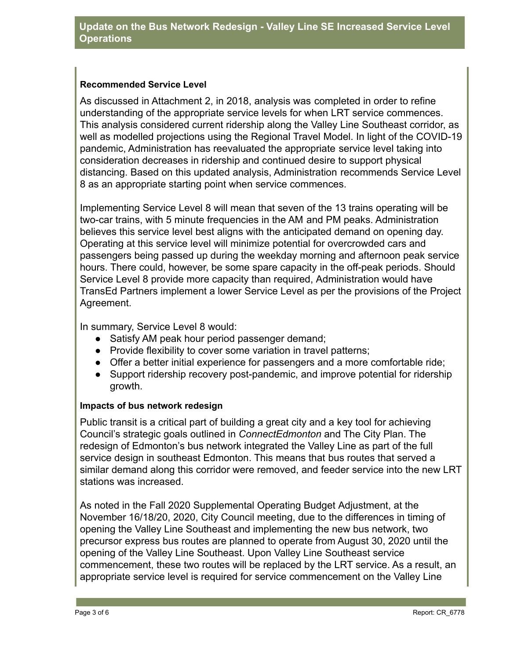#### **Recommended Service Level**

As discussed in Attachment 2, in 2018, analysis was completed in order to refine understanding of the appropriate service levels for when LRT service commences. This analysis considered current ridership along the Valley Line Southeast corridor, as well as modelled projections using the Regional Travel Model. In light of the COVID-19 pandemic, Administration has reevaluated the appropriate service level taking into consideration decreases in ridership and continued desire to support physical distancing. Based on this updated analysis, Administration recommends Service Level 8 as an appropriate starting point when service commences.

Implementing Service Level 8 will mean that seven of the 13 trains operating will be two-car trains, with 5 minute frequencies in the AM and PM peaks. Administration believes this service level best aligns with the anticipated demand on opening day. Operating at this service level will minimize potential for overcrowded cars and passengers being passed up during the weekday morning and afternoon peak service hours. There could, however, be some spare capacity in the off-peak periods. Should Service Level 8 provide more capacity than required, Administration would have TransEd Partners implement a lower Service Level as per the provisions of the Project Agreement.

In summary, Service Level 8 would:

- Satisfy AM peak hour period passenger demand;
- Provide flexibility to cover some variation in travel patterns;
- Offer a better initial experience for passengers and a more comfortable ride;
- Support ridership recovery post-pandemic, and improve potential for ridership growth.

#### **Impacts of bus network redesign**

Public transit is a critical part of building a great city and a key tool for achieving Council's strategic goals outlined in *ConnectEdmonton* and The City Plan. The redesign of Edmonton's bus network integrated the Valley Line as part of the full service design in southeast Edmonton. This means that bus routes that served a similar demand along this corridor were removed, and feeder service into the new LRT stations was increased.

As noted in the Fall 2020 Supplemental Operating Budget Adjustment, at the November 16/18/20, 2020, City Council meeting, due to the differences in timing of opening the Valley Line Southeast and implementing the new bus network, two precursor express bus routes are planned to operate from August 30, 2020 until the opening of the Valley Line Southeast. Upon Valley Line Southeast service commencement, these two routes will be replaced by the LRT service. As a result, an appropriate service level is required for service commencement on the Valley Line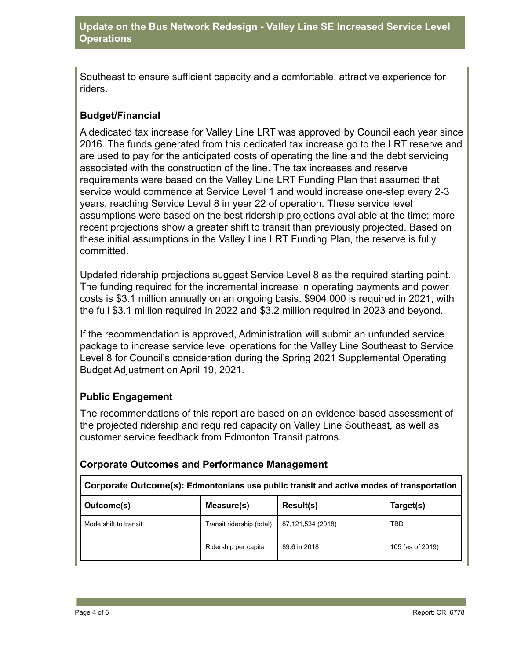Southeast to ensure sufficient capacity and a comfortable, attractive experience for riders.

# **Budget/Financial**

A dedicated tax increase for Valley Line LRT was approved by Council each year since 2016. The funds generated from this dedicated tax increase go to the LRT reserve and are used to pay for the anticipated costs of operating the line and the debt servicing associated with the construction of the line. The tax increases and reserve requirements were based on the Valley Line LRT Funding Plan that assumed that service would commence at Service Level 1 and would increase one-step every 2-3 years, reaching Service Level 8 in year 22 of operation. These service level assumptions were based on the best ridership projections available at the time; more recent projections show a greater shift to transit than previously projected. Based on these initial assumptions in the Valley Line LRT Funding Plan, the reserve is fully committed.

Updated ridership projections suggest Service Level 8 as the required starting point. The funding required for the incremental increase in operating payments and power costs is \$3.1 million annually on an ongoing basis. \$904,000 is required in 2021, with the full \$3.1 million required in 2022 and \$3.2 million required in 2023 and beyond.

If the recommendation is approved, Administration will submit an unfunded service package to increase service level operations for the Valley Line Southeast to Service Level 8 for Council's consideration during the Spring 2021 Supplemental Operating Budget Adjustment on April 19, 2021.

# **Public Engagement**

The recommendations of this report are based on an evidence-based assessment of the projected ridership and required capacity on Valley Line Southeast, as well as customer service feedback from Edmonton Transit patrons.

| Corporate Outcome(s): Edmontonians use public transit and active modes of transportation |                           |                   |                  |  |  |  |  |
|------------------------------------------------------------------------------------------|---------------------------|-------------------|------------------|--|--|--|--|
| Outcome(s)                                                                               | Measure(s)                | Result(s)         | Target(s)        |  |  |  |  |
| Mode shift to transit                                                                    | Transit ridership (total) | 87,121,534 (2018) | TBD              |  |  |  |  |
|                                                                                          | Ridership per capita      | 89.6 in 2018      | 105 (as of 2019) |  |  |  |  |

#### **Corporate Outcomes and Performance Management**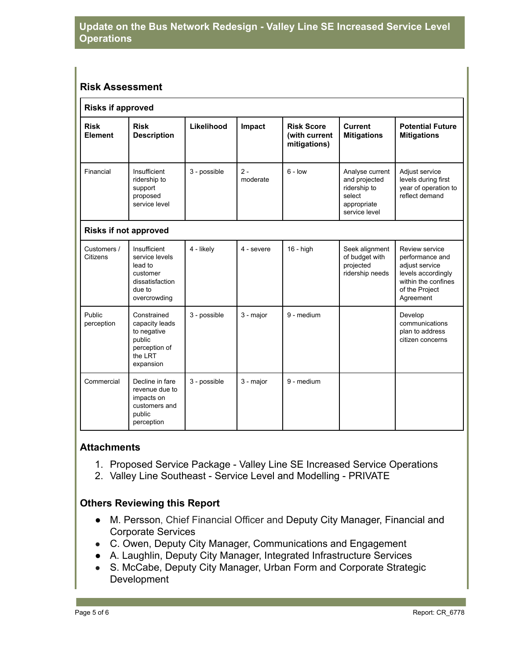#### **Risk Assessment**

| <b>Risks if approved</b>     |                                                                                                    |              |                   |                                                    |                                                                                            |                                                                                                                                 |  |  |
|------------------------------|----------------------------------------------------------------------------------------------------|--------------|-------------------|----------------------------------------------------|--------------------------------------------------------------------------------------------|---------------------------------------------------------------------------------------------------------------------------------|--|--|
| <b>Risk</b><br>Element       | <b>Risk</b><br><b>Description</b>                                                                  | Likelihood   | Impact            | <b>Risk Score</b><br>(with current<br>mitigations) | <b>Current</b><br><b>Mitigations</b>                                                       | <b>Potential Future</b><br><b>Mitigations</b>                                                                                   |  |  |
| Financial                    | Insufficient<br>ridership to<br>support<br>proposed<br>service level                               | 3 - possible | $2 -$<br>moderate | $6 - low$                                          | Analyse current<br>and projected<br>ridership to<br>select<br>appropriate<br>service level | Adjust service<br>levels during first<br>year of operation to<br>reflect demand                                                 |  |  |
| <b>Risks if not approved</b> |                                                                                                    |              |                   |                                                    |                                                                                            |                                                                                                                                 |  |  |
| Customers /<br>Citizens      | Insufficient<br>service levels<br>lead to<br>customer<br>dissatisfaction<br>due to<br>overcrowding | 4 - likely   | 4 - severe        | $16 - high$                                        | Seek alignment<br>of budget with<br>projected<br>ridership needs                           | Review service<br>performance and<br>adjust service<br>levels accordingly<br>within the confines<br>of the Project<br>Agreement |  |  |
| Public<br>perception         | Constrained<br>capacity leads<br>to negative<br>public<br>perception of<br>the LRT<br>expansion    | 3 - possible | 3 - major         | 9 - medium                                         |                                                                                            | Develop<br>communications<br>plan to address<br>citizen concerns                                                                |  |  |
| Commercial                   | Decline in fare<br>revenue due to<br>impacts on<br>customers and<br>public<br>perception           | 3 - possible | 3 - major         | 9 - medium                                         |                                                                                            |                                                                                                                                 |  |  |

#### **Attachments**

- 1. Proposed Service Package Valley Line SE Increased Service Operations
- 2. Valley Line Southeast Service Level and Modelling PRIVATE

#### **Others Reviewing this Report**

- M. Persson, Chief Financial Officer and Deputy City Manager, Financial and Corporate Services
- C. Owen, Deputy City Manager, Communications and Engagement
- A. Laughlin, Deputy City Manager, Integrated Infrastructure Services
- S. McCabe, Deputy City Manager, Urban Form and Corporate Strategic Development